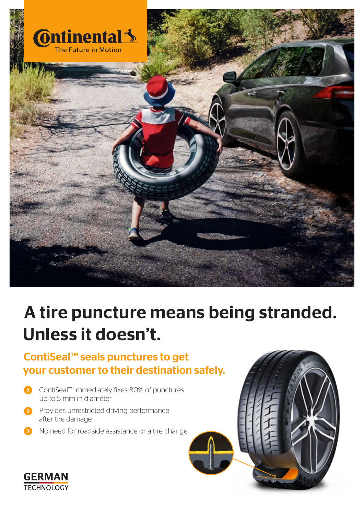

# A tire puncture means being stranded. Unless it doesn't.

## ContiSeal™ seals punctures to get your customer to their destination safely.

- ContiSeal™ immediately fixes 80% of punctures up to 5 mm in diameter
- **Provides unrestricted driving performance** after tire damage
- **D** No need for roadside assistance or a tire change